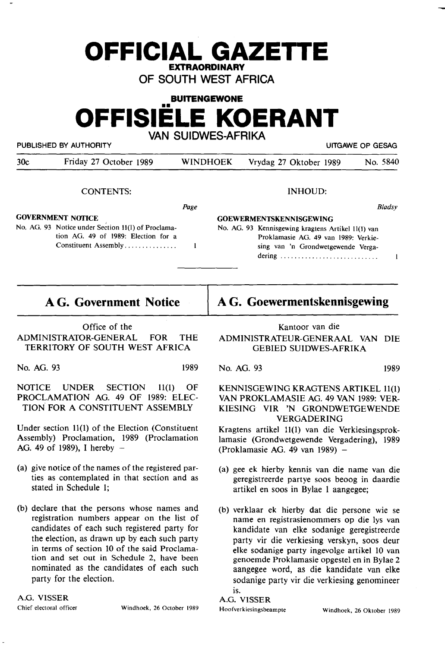# **OFFICIAL GAZETTE EXTRAORDINARY**

**OF SOUTH WEST AFRICA** 

# **BUITENGEWONE**

**OFFISIELE KOERANT** 

**VAN SUIDWES-AFRIKA** 

PUBLISHED BY AUTHORITY **EXECUTE ALL STATES IN THE SECOND PUBLISHED BY AUTHORITY PUBLISHED BY AUTHORITY** 

| 30c | Friday 27 October 1989 | <b>WINDHOEK</b> | Vrydag 27 Oktober 1989 | No. 5840 |
|-----|------------------------|-----------------|------------------------|----------|
|     |                        |                 |                        |          |

CONTENTS:

Page

 $\mathbf{I}$ 

# **GOVERNMENT NOflCE**

No. AG. 93 Notice under Section 11(1) of Proclamation AG. 49 of 1989: Election for a Constituent Assembly ..............

# **AG. Government Notice**

Office of the ADMINISTRATOR-GENERAL FOR THE TERRITORY OF SOUTH WEST AFRICA

No. AG. 93 1989

NOTICE UNDER SECTION 11(1) OF PROCLAMATION AG. 49 OF 1989: ELEC-TION FOR A CONSTITUENT ASSEMBLY

Under section 11(1) of the Election (Constituent Assembly) Proclamation, 1989 (Proclamation AG. 49 of 1989), I hereby  $-$ 

- (a) give notice of the names of the registered parties as contemplated **in** that section and as stated in Schedule 1;
- (b) declare that the persons whose names and registration numbers appear on the list of candidates of each such registered party for the election, as drawn up by each such party in terms of section 10 of the said Proclamation and set out in Schedule 2, have been nominated as the candidates of each such party for the election.

**A.G. VISSER** 

Chief electoral officer Windhoek, 26 October 1989

**AG. Goewermentskennisgewing** 

INHOUD:

Proklamasie AG. 49 van 1989: Verkiesing van 'n Grondwetgewende Vergadering ........................... .

No. AG. 93 Kennisgewing kragtens Artikel 11(1) van

**GOEWERMENTSKENNISGEWING** 

Kantoor van die

**ADMINISTRATEUR-GENERAAL VAN DIE GEBIED SUIDWES-AFRIKA** 

No. AG. 93 1989

KENNISGEWING KRAGTENS ARTIKEL 11(1) VAN PROKLAMASIE AG. 49 VAN 1989: VER-KIESING VIR 'N GRONDWETGEWENDE VERGADERING

Kragtens artikel 11(1) van die Verkiesingsproklamasie (Grondwetgewende Vergadering), 1989 (Proklamasie AG. 49 van 1989) -

- (a) gee ek hierby kennis van die name van die geregistreerde partye soos beoog in daardie artikel en soos in Bylae 1 aangegee;
- (b) verklaar ek hierby dat die persone wie se name en registrasienommers op die lys van kandidate van elke sodanige geregistreerde party vir die verkiesing verskyn, soos deur elke sodanige party ingevolge artikel 10 van genoemde Proklamasie opgestel en in Bylae 2 aangegee word, as die kandidate van elke sodanige party vir die verkiesing genomineer is.

A.G. VISSER Hoofverkiesingsbeampte Windhoek, 26 Oktober 1989

**Bladsy** 

 $\mathbf{I}$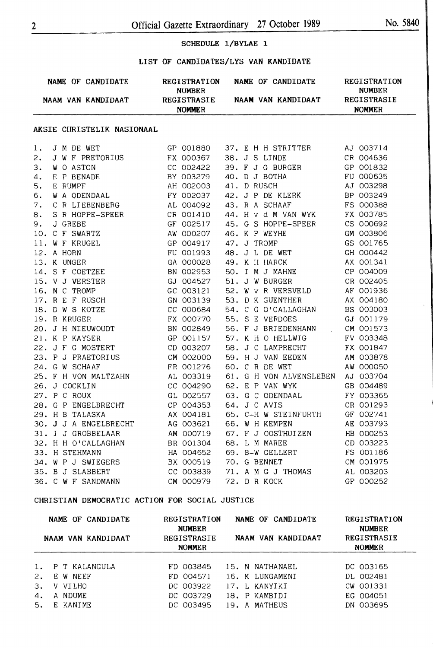#### SCHEDULE 1/BYLAE 1

#### LIST OF CANDIDATES/LYS VAN KANDIDATE

|    |              | NAME OF CANDIDATE REGISTRATION NAME OF CANDIDATE                                                                                                                                                                                     | <b>NUMBER</b> |  |                                                                                                                                                                                                                                  | <b>REGISTRATION</b><br><b>NUMBER</b> |
|----|--------------|--------------------------------------------------------------------------------------------------------------------------------------------------------------------------------------------------------------------------------------|---------------|--|----------------------------------------------------------------------------------------------------------------------------------------------------------------------------------------------------------------------------------|--------------------------------------|
|    |              | NAAM VAN KANDIDAAT REGISTRASIE NAAM VAN KANDIDAAT REGISTRASIE                                                                                                                                                                        | <b>NOMMER</b> |  |                                                                                                                                                                                                                                  | <b>NOMMER</b>                        |
|    |              | AKSIE CHRISTELIK NASIONAAL                                                                                                                                                                                                           |               |  |                                                                                                                                                                                                                                  |                                      |
| 1. | J M DE WET   |                                                                                                                                                                                                                                      | GP 001880     |  | 37. E H H STRITTER AJ 003714<br>38. J S LINDE CR 004636                                                                                                                                                                          |                                      |
| 2. |              | J W F PRETORIUS                                                                                                                                                                                                                      | FX 000367     |  |                                                                                                                                                                                                                                  |                                      |
| 3. |              | WO ASTON<br>E P BENADE<br>E P BENADE<br>E RUMPF<br>WA ODENDAAL<br>WA ODENDAAL<br>C R LIEBENBERG<br>C R LIEBENBERG<br>AL 004092<br>43. R A SCHAAF                                                                                     |               |  | 38. J S LINDE CR 004636<br>39. F J G BURGER GP 001832<br>40. D J BOTHA FU 000635<br>41. D RUSCH AJ 003298<br>42. J P DE KLERK BP 003249<br>43. R A SCHAAF FS 000388<br>44. H v d M VAN WYK FX 003785<br>45. G S HOPPE-SPEP       |                                      |
| 4. |              |                                                                                                                                                                                                                                      |               |  |                                                                                                                                                                                                                                  |                                      |
| 5. |              |                                                                                                                                                                                                                                      |               |  |                                                                                                                                                                                                                                  |                                      |
| 6. |              |                                                                                                                                                                                                                                      |               |  |                                                                                                                                                                                                                                  |                                      |
| 7. |              |                                                                                                                                                                                                                                      |               |  |                                                                                                                                                                                                                                  |                                      |
| 8. |              | S R HOPPE-SPEER<br>J GREBE<br>GF 002517                                                                                                                                                                                              |               |  |                                                                                                                                                                                                                                  |                                      |
| 9. |              |                                                                                                                                                                                                                                      |               |  |                                                                                                                                                                                                                                  |                                      |
|    |              |                                                                                                                                                                                                                                      |               |  |                                                                                                                                                                                                                                  |                                      |
|    |              |                                                                                                                                                                                                                                      |               |  |                                                                                                                                                                                                                                  |                                      |
|    |              |                                                                                                                                                                                                                                      |               |  |                                                                                                                                                                                                                                  |                                      |
|    |              |                                                                                                                                                                                                                                      |               |  |                                                                                                                                                                                                                                  |                                      |
|    |              |                                                                                                                                                                                                                                      |               |  |                                                                                                                                                                                                                                  |                                      |
|    |              | 3. JONEBE<br>10. C F SWARTZ AW 000207<br>11. W F KRUGEL GP 004917<br>12. A HORN FU 001993<br>13. K UNGER GA 000028<br>14. S F COETZEE BN 002953<br>15. V J VERSTER GJ 004527<br>16. N C TROMP GC 003121<br>17. B F F BUSCH GN 003139 |               |  | 45. G S HOPPE-SPEER CS 000692<br>46. K P WEYHE GM 003806<br>47. J TROMP GS 001765<br>48. J L DE WET GH 000442<br>49. K H HARCK AX 001341<br>50. I M J MAHNE CP 004009<br>51. J W BURGER CR 002405<br>52 W V B UFBSUFID AF 001000 |                                      |
|    |              |                                                                                                                                                                                                                                      |               |  |                                                                                                                                                                                                                                  |                                      |
|    |              |                                                                                                                                                                                                                                      |               |  |                                                                                                                                                                                                                                  |                                      |
|    |              |                                                                                                                                                                                                                                      |               |  |                                                                                                                                                                                                                                  |                                      |
|    |              | 17. R E F RUSCH<br>17. R E F RUSCH<br>19. R KRUGER<br>20. J H NIEUWOUDT<br>21. K P KAYSER<br>22. J F G MOSTERT<br>22. J F G MOSTERT<br>22. J F G MOSTERT<br>22. J F G MOSTERT<br>22. J F G MOSTERT<br>22. J F G MOSTERT              | FX 000770     |  | 52. W V R VERSVELD<br>53. D K GUENTHER<br>54. C G O'CALLAGHAN<br>55. S E VERDOES<br>55. S E VERDOES<br>57. G VERDOES                                                                                                             |                                      |
|    |              |                                                                                                                                                                                                                                      |               |  | 56. F J BRIEDENHANN . CM 001573                                                                                                                                                                                                  |                                      |
|    |              |                                                                                                                                                                                                                                      |               |  | 57. K H O HELLWIG FV 003348<br>58. J C LAMPRECHT FX 001847                                                                                                                                                                       |                                      |
|    |              |                                                                                                                                                                                                                                      |               |  |                                                                                                                                                                                                                                  |                                      |
|    |              | 23. P J PRAETORIUS CM 002000                                                                                                                                                                                                         |               |  | 59. H J VAN EEDEN AM 003878                                                                                                                                                                                                      |                                      |
|    |              |                                                                                                                                                                                                                                      |               |  | 60. C R DE WET                                                                                                                                                                                                                   | AW 000050                            |
|    |              | 24. G W SCHAAF FR 001276<br>25. F H VON MALTZAHN AL 003319<br>26. J COCKLIN CC 004290                                                                                                                                                |               |  | 61. G H VON ALVENSLEBEN AJ 003704                                                                                                                                                                                                |                                      |
|    |              |                                                                                                                                                                                                                                      |               |  | GB 004489<br>62. E P VAN WYK                                                                                                                                                                                                     |                                      |
|    | 27. P C ROUX | GL 002557                                                                                                                                                                                                                            |               |  | 63. G C ODENDAAL FY 003365                                                                                                                                                                                                       |                                      |
|    |              |                                                                                                                                                                                                                                      |               |  | 64. J C AVIS<br>65. C-H W STEINFURTH GF 002741<br>66. W H KEMPEN AE 003793                                                                                                                                                       |                                      |
|    |              |                                                                                                                                                                                                                                      |               |  |                                                                                                                                                                                                                                  |                                      |
|    |              |                                                                                                                                                                                                                                      |               |  |                                                                                                                                                                                                                                  |                                      |
|    |              | 28. G P ENGELBRECHT<br>28. G P ENGELBRECHT<br>29. H B TALASKA<br>30. J J A ENGELBRECHT<br>31. J J GROBBELAAR<br>31. J J GROBBELAAR<br>29. M OOO719<br>31. J GROBBELAAR<br>32. H H O'CALLAGHAN BR 001304<br>14 004652<br>HA 004652    |               |  | 67. F J OOSTHUIZEN HB 000253<br>68. L M MAREE CD 003223<br>69. B-W GELLERT FS 001186<br>70. G BENNET CM 001975                                                                                                                   |                                      |
|    |              |                                                                                                                                                                                                                                      |               |  |                                                                                                                                                                                                                                  |                                      |
|    |              |                                                                                                                                                                                                                                      |               |  |                                                                                                                                                                                                                                  |                                      |
|    |              | 34. W P J SWIEGERS BX 000519                                                                                                                                                                                                         |               |  |                                                                                                                                                                                                                                  |                                      |
|    |              |                                                                                                                                                                                                                                      |               |  | 71. A M G J THOMAS AL 003203<br>72. D R KOCK GP 000252                                                                                                                                                                           |                                      |
|    |              | 35. B J SLABBERT CC 003839<br>36. C W F SANDMANN CM 000979                                                                                                                                                                           |               |  |                                                                                                                                                                                                                                  |                                      |

#### **CHRISTIAN DEMOCRATIC ACTION FOR SOCIAL JUSTICE**

| NAME OF CANDIDATE |                     | <b>REGISTRATION</b><br><b>NUMBER</b> | NAME OF CANDIDATE                | REGISTRATION<br><b>NUMBER</b> |  |  |
|-------------------|---------------------|--------------------------------------|----------------------------------|-------------------------------|--|--|
|                   | NAAM VAN KANDIDAAT  | REGISTRASIE<br><b>NOMMER</b>         | NAAM VAN KANDIDAAT               | REGISTRASIE<br><b>NOMMER</b>  |  |  |
|                   | 1. P T KALANGULA    | FD 003845                            | 15. N NATHANAEL                  | DC 003165                     |  |  |
| 2.<br>3.          | E W NEEF<br>V VILHO | FD 004571<br>DC 003922               | 16. K LUNGAMENI<br>17. L KANYIKI | DL 002481<br>CW 001331        |  |  |
| 4.<br>5.          | A NDUME<br>E KANIME | DC 003729<br>DC 003495               | 18. P KAMBIDI<br>19. A MATHEUS   | EG 004051<br>DN 003695        |  |  |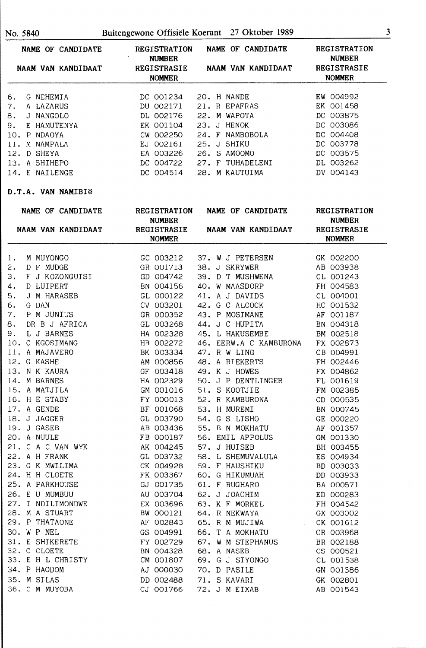| NAME OF CANDIDATE                | <b>REGISTRATION</b><br><b>NUMBER</b>          | REGISTRATION<br><b>NUMBER</b>               |                                               |  |
|----------------------------------|-----------------------------------------------|---------------------------------------------|-----------------------------------------------|--|
| NAAM VAN KANDIDAAT               | REGISTRASIE<br><b>NOMMER</b>                  | NAAM VAN KANDIDAAT                          | REGISTRASIE<br><b>NOMMER</b>                  |  |
| G NEHEMIA<br>6.                  | DC 001234                                     | 20. H NANDE                                 | EW 004992                                     |  |
| A LAZARUS<br>7.                  | DU 002171                                     | 21. R EPAFRAS                               | EK 001458                                     |  |
| J NANGOLO<br>8.                  | DL 002176                                     | 22. M WAPOTA                                | DC 003875                                     |  |
| 9.<br>E HAMUTENYA                | EK 001104                                     | 23. J HENOK                                 | DC 003086                                     |  |
| 10. P NDAOYA                     | CW 002250                                     | 24. F NAMBOBOLA                             | DC 004408                                     |  |
| 11. M NAMPALA                    | EJ 002161                                     | 25. J SHIKU                                 | DC 003778                                     |  |
| 12. D SHEYA                      | EA 003226                                     | 26. S AMOOMO                                | DC 003575                                     |  |
| 13. A SHIHEPO                    | DC 004722                                     | 27. F TUHADELENI                            | DL 003262                                     |  |
| 14. E NAILENGE                   | DC 004514                                     | 28. M KAUTUIMA DV 004143                    |                                               |  |
| D.T.A. VAN NAMIBIë               |                                               |                                             |                                               |  |
| NAME OF CANDIDATE                |                                               | REGISTRATION NAME OF CANDIDATE REGISTRATION |                                               |  |
| NAAM VAN KANDIDAAT               | <b>NUMBER</b><br>REGISTRASIE<br><b>NOMMER</b> | NAAM VAN KANDIDAAT                          | <b>NUMBER</b><br>REGISTRASIE<br><b>NOMMER</b> |  |
|                                  |                                               |                                             |                                               |  |
| M MUYONGO<br>$l_{\star}$         | GC 003212                                     | 37. W J PETERSEN GK 002200                  |                                               |  |
| D F MUDGE<br>2.                  | GR 001713                                     | 38. J SKRYWER                               | AB 003938                                     |  |
| 3.<br>F J KOZONGUISI             | GD 004742                                     | 39. D T MUSHWENA                            | CL 001243                                     |  |
| 4.<br>D LUIPERT                  | BN 004156                                     | 40. W MAASDORP                              | FH 004583                                     |  |
| 5.<br>J M HARASEB<br>G DAN<br>6. | GL 000122<br>CV 003201                        | 41. A J DAVIDS                              | CL 004001                                     |  |
| 7.<br>P M JUNIUS                 | GR 000352                                     | 42. G C ALCOCK                              | HC 001532<br>AF 001187                        |  |
| DR B J AFRICA                    |                                               | 43. P MOSIMANE                              |                                               |  |
| 8.<br>9.<br>L J BARNES           | GL 003268<br>HA 002328                        | 44. J C HUPITA<br>45. L HAKUSEMBE           | BN 004318<br>BM 002518                        |  |
| 10. C KGOSIMANG                  | HB 002272                                     | 46. EERW.A C KAMBURONA FX 002873            |                                               |  |
| 11. A MAJAVERO                   | BK 003334                                     | 47. R W LING                                | CB 004991                                     |  |
| 12. G KASHE                      | AM 000856                                     | 48. A RIEKERTS                              | FH 002446                                     |  |
| 13. N K KAURA                    | GF 003418                                     | 49. K J HOWES                               | FX 004862                                     |  |
| 14. M BARNES                     | HA 002329                                     | 50. J P DENTLINGER                          | FL 001619                                     |  |
| 15. A MATJILA                    | GM 001016                                     | 51. S KOOTJIE                               | FM 002385                                     |  |
| 16. H E STABY                    | FY 000013                                     | 52. R KAMBURONA CD 000535                   |                                               |  |
| 17. A GENDE                      | BF 001068                                     | 53. H MUREMI                                | BN 000745                                     |  |
| 18. J JAGGER                     | GL 003790                                     | 54. G S LISHO                               | GE 000220                                     |  |
| 19. J GASEB                      | AB 003436                                     | 55. B N MOKHATU                             | AF 001357                                     |  |
| 20. A NUULE                      | FB 000187                                     | 56. EMIL APPOLUS                            | GM 001330                                     |  |
| 21. C A C VAN WYK                | AK 004245                                     | 57. J HUISEB                                | BH 003455                                     |  |
| 22. A H FRANK                    | GL 003732                                     | 58. L SHEMUVALULA                           | ES 004934                                     |  |
| 23. G K MWILIMA                  | CK 004928                                     | 59. F HAUSHIKU                              | BD 003033                                     |  |
| 24. H H CLOETE                   | FK 003367                                     | 60. G HIKUMUAH                              | DD 003933                                     |  |
| 25. A PARKHOUSE                  | GJ 001735                                     | 61. F RUGHARO                               | BA 000571                                     |  |
| 26. E U MUMBUU                   | AU 003704                                     | 62. J JOACHIM                               | ED 000283                                     |  |
| 27. I NDILIMONDWE                | EX 003696                                     | 63. K F MORKEL                              | FH 004542                                     |  |
| 28. M A STUART                   | BW 000121                                     | 64. R NEKWAYA                               | GX 003002                                     |  |
| 29. P THATAONE                   | AF 002843                                     | 65. R M MUJIWA                              | CK 001612                                     |  |
| 30. W P NEL                      | GS 004991                                     | 66. T A MOKHATU                             | CR 003968                                     |  |
| 31. E SHIKERETE                  | FY 002729                                     | 67. W M STEPHANUS                           | BR 002188                                     |  |
| 32. C CLOETE                     | BN 004328                                     | 68. A NASEB                                 | CS 000521                                     |  |
| 33. E H L CHRISTY                | CM 001807                                     | 69. G J SIYONGO                             | CL 001538                                     |  |
| 34. P HAODOM                     | AJ 000030                                     | 70. D PASILE                                | GN 001386                                     |  |
| 35. M SILAS                      | DD 002488                                     | 71. S KAVARI                                | GK 002801                                     |  |
| 36. C M MUYOBA                   | CJ 001766                                     | 72. J M EIXAB                               | AB 001543                                     |  |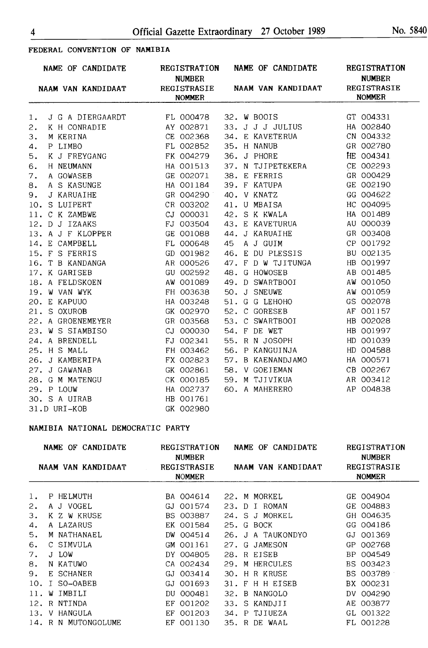# **FEDERAL CONVENTION OF NAMIBIA**

| NAME OF CANDIDATE                           | <b>NUMBER</b> | REGISTRATION NAME OF CANDIDATE                    | REGISTRATION<br><b>NUMBER</b> |
|---------------------------------------------|---------------|---------------------------------------------------|-------------------------------|
|                                             | <b>NOMMER</b> | NAAM VAN KANDIDAAT REGISTRASIE NAAM VAN KANDIDAAT | REGISTRASIE<br><b>NOMMER</b>  |
| 1.                                          |               |                                                   | GT 004331                     |
| 2.                                          |               |                                                   | HA 002840                     |
| 3.                                          | CE 002368     | 34. E KAVETERUA           CN 004332               |                               |
| M KERINA<br>P LIMBO<br>K J FREYGANG<br>4.   | FL 002852     | 35. H NANUB                                       | GR 002780                     |
| 5.                                          |               | FK 004279 36. J PHORE HE 004341                   |                               |
| H NEUMANN<br>6.                             | HA 001513     | 37. N TJIPETEKERA CE 002293                       |                               |
| A GOWASEB<br>7.                             |               | GE 002071 38. E FERRIS                            | GR 000429                     |
| A S KASUNGE<br>8.                           | HA 001184     | 39. F KATUPA                                      | GE 002190                     |
| J KARUAIHE<br>9.                            |               | GR 004290 40. V KNATZ                             | GG 004622                     |
| 10. S LUIPERT                               | CR 003202     | 41. U MBAISA                                      | HC 004095                     |
|                                             | CJ 000031     | 42. S K KWALA                                     | HA 001489                     |
| 11. C K ZAMBWE<br>12. D J IZAAKS            | FJ 003504     | 43. E KAVETURUA                                   | AU 000039                     |
| 13. A J F KLOPPER<br>14. E CAMPBELL         | GE 001088     | 44. J KARUAIHE                                    | GR 003408                     |
|                                             | FL 000648     | 45 A J GUIM                                       | CP 001792                     |
| 15. F S FERRIS                              | GD 001982     | 46. E DU PLESSIS                                  | BU 002135                     |
|                                             | AR 000526     | 47. F D W TJITUNGA HB 001997                      |                               |
| 16. T B KANDANGA<br>17. K GARISEB           | GU 002592     | 48. G HOWOSEB                                     | AB 001485                     |
|                                             | AW 001089     | 49. D SWARTBOOI                                   | AW 001050                     |
| 18. A FELDSKOEN<br>19. W VAN WYK            | FH 003638     | 50. J SNEUWE                                      | AW 001059                     |
| 20. E KAPUUO                                | HA 003248     | 51. G G LEHOHO                                    | GS 002078                     |
| 21. S OXUROB                                | GK 002970     | 52. C GORESEB                                     | AF 001157                     |
| 22. A GROENEMEYER                           | GR 003568     | 53. C SWARTBOOI                                   | HB 002028                     |
| 23. W S SIAMBISO                            | CJ 000030     | 54. F DE WET                                      | HB 001997                     |
| 24. A BRENDELL                              | FJ 002341     | 55. R N JOSOPH                                    | HD 001039                     |
| 25. H S MALL                                | FH 003462     | 56. P KANGUINJA                                   | HD 004588                     |
| 26. J KAMBERIPA                             | FX 002823     | 57. B KAENANDJAMO                                 | HA 000571                     |
|                                             | GK 002861     | 58. V GOEIEMAN                                    | CB 002267                     |
| 27. J GAWANAB<br>28. G M MATENGU            | CK 000185     | 59. M TJIVIKUA                                    | AR 003412                     |
| 29. P LOUW<br>30. S A UIRAB<br>31.D URI-KOB | HA 002737     | 60. A MAHERERO                                    | AP 004838                     |
|                                             | HB 001761     |                                                   |                               |
|                                             | GK 002980     |                                                   |                               |

#### **NAMIBIA NATIONAL DEMOCRATIC PARTY**

| <b>CANDIDATE</b><br>NAME OF |                     | REGISTRATION<br><b>NUMBER</b>       | NAME<br><b>CANDIDATE</b><br>OF. | REGISTRATION<br><b>NUMBER</b>       |  |  |
|-----------------------------|---------------------|-------------------------------------|---------------------------------|-------------------------------------|--|--|
|                             | NAAM VAN KANDIDAAT  | <b>REGISTRASIE</b><br><b>NOMMER</b> | NAAM VAN KANDIDAAT              | <b>REGISTRASIE</b><br><b>NOMMER</b> |  |  |
|                             | P HELMUTH           | BA 004614                           | 22. M MORKEL                    | GE 004904                           |  |  |
| 2.                          | A J VOGEL           | 001574<br>GJ.                       | 23. D I ROMAN                   | GE 004883                           |  |  |
| З.                          | K Z W KRUSE         | BS 003887                           | 24. S J MORKEL                  | GH 004635                           |  |  |
| 4.                          | A LAZARUS           | EK 001584                           | 25. G BOCK                      | GG 004186                           |  |  |
| 5.                          | M NATHANAEL         | DW 004514                           | 26.<br>J A TAUKONDYO            | 001369<br>GJ                        |  |  |
| 6.                          | C SIMVULA           | GM 001161                           | 27. G JAMESON                   | 002768<br>GP                        |  |  |
| 7.                          | J LOW               | DY 004805                           | 28.<br>R EISEB                  | 004549<br>BP.                       |  |  |
| 8.                          | N KATUWO            | CA 002434                           | 29.<br>M HERCULES               | BS 003423                           |  |  |
| 9.                          | E SCHANER           | GJ 003414                           | H R KRUSE<br>30.                | BS 003789                           |  |  |
| 10.                         | SO-OABEB            | 001693<br>GJ                        | H H EISEB<br>31.<br>F           | BX 000231                           |  |  |
| 11.                         | IMBILI<br>W         | 000481<br>DU.                       | B<br>NANGOLO<br>32.             | DV 004290                           |  |  |
| 12.                         | NTINDA<br>R         | EF<br>001202                        | 33.<br>S.<br>KANDJII            | AE 003877                           |  |  |
| 13.                         | HANGULA<br>V        | 001203<br>EF                        | TJIUEZA<br>34.<br>P             | GL 001322                           |  |  |
|                             | 14. R N MUTONGOLUME | EF 001130                           | 35. R DE WAAL                   | FL 001228                           |  |  |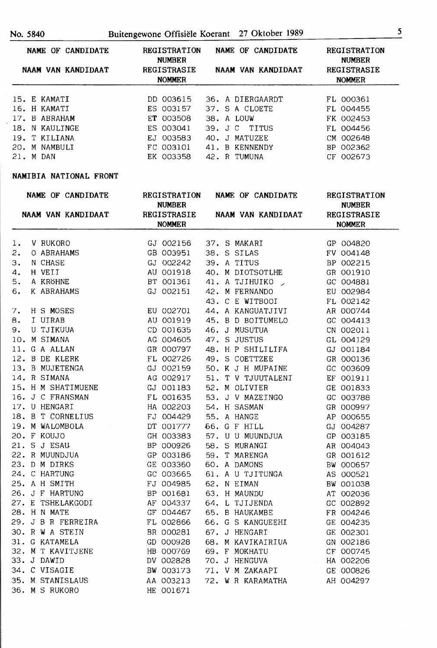| NAME OF CANDIDATE             | <b>REGISTRATION</b><br><b>NUMBER</b> | NAME OF CANDIDATE            | <b>REGISTRATION</b><br><b>NUMBER</b> |
|-------------------------------|--------------------------------------|------------------------------|--------------------------------------|
| NAAM VAN KANDIDAAT            | <b>REGISTRASIE</b><br><b>NOMMER</b>  | NAAM VAN KANDIDAAT           | REGISTRASIE<br><b>NOMMER</b>         |
| 15. E KAMATI                  | DD 003615                            | 36. A DIERGAARDT             | FL 000361                            |
| 16. H KAMATI<br>17. B ABRAHAM | ES 003157<br>ET 003508               | 37. S A CLOETE<br>38. A LOUW | FL 004455<br>FK 002453               |
|                               |                                      |                              |                                      |

|  | 18. N KAULINGE |                          |  | ES 003041 39. J C TITUS | FL 004456 |
|--|----------------|--------------------------|--|-------------------------|-----------|
|  | 19. T KILIANA  | EJ 003583 40. J MATUZEE  |  |                         | CM 002648 |
|  | 20. M NAMBULI  | FC 003101 41. B KENNENDY |  |                         | BP 002362 |
|  | 21. M DAN      | EK 003358 42. R TUMUNA   |  |                         | CF 002673 |
|  |                |                          |  |                         |           |

#### **NAMIBIA NATIONAL FRONT**

|    | NAME OF CANDIDATE                                                                | <b>REGISTRATION</b><br><b>NUMBER</b> | NAME OF CANDIDATE                                 | REGISTRATION<br><b>NUMBER</b>       |
|----|----------------------------------------------------------------------------------|--------------------------------------|---------------------------------------------------|-------------------------------------|
|    |                                                                                  | <b>NOMMER</b>                        | NAAM VAN KANDIDAAT REGISTRASIE NAAM VAN KANDIDAAT | <b>REGISTRASIE</b><br><b>NOMMER</b> |
|    |                                                                                  |                                      |                                                   |                                     |
| 1. | V RUKORO                                                                         | GJ 002156                            | 37. S MAKARI                                      | GP 004820                           |
| 2. | O ABRAHAMS                                                                       | GB 003951                            | 38. S SILAS                                       | FV 004148                           |
| 3. | N CHASE<br>H VEII<br>A KRÖHNE<br>K ABRAHAMS                                      | GJ 002242                            | 39. A TITUS                                       | BP 002215                           |
| 4. |                                                                                  | AU 001918                            | 40. M DIOTSOTLHE                                  | GR 001910                           |
| 5. |                                                                                  | BT 001361                            | 41. A TJIHUIKO _                                  | GC 004881                           |
| 6. |                                                                                  | GJ 002151                            | 42. M FERNANDO                                    | EU 002984                           |
|    |                                                                                  |                                      | 43. C E WITBOOI                                   | FL 002142                           |
|    |                                                                                  | EU 002701                            | 44. A KANGUATJIVI                                 | AR 000744                           |
|    |                                                                                  | AU 001919                            | 45. B D BOITUMELO                                 | GC 004413                           |
|    | 7. H S MOSES<br>8. I UIRAB<br>9. U TJIKUUA<br>10. M SIMANA<br>11. G A ALLAN      | CD 001635                            | 46. J MUSUTUA                                     | CN 002011                           |
|    |                                                                                  | AG 004605                            | 47. S JUSTUS                                      | GL 004129                           |
|    |                                                                                  | GR 000797                            | 48. H P SHILILIFA                                 | GJ 001184                           |
|    |                                                                                  | FL 002726                            | 49. S COETTZEE                                    | GR 000136                           |
|    | 11. J. H. MILLIN<br>12. B DE KLERK<br>13. B MUJETENGA<br>14. R SIMANA            | GJ 002159                            | 50. K J H MUPAINE                                 | GC 003609                           |
|    |                                                                                  | AG 002917                            | 51. T V TJUUTALENI                                | EF 001911                           |
|    | 15. H M SHATIMUENE                                                               | GJ 001183                            | 52. M OLIVIER                                     | GE 001833                           |
|    | 16. J C FRANSMAN                                                                 | FL 001635                            | 53. J V MAZEINGO                                  | GC 003788                           |
|    | 17. U HENGARI<br>18. B T CORNELIUS                                               | HA 002203                            | 54. H SASMAN                                      | GR 000997                           |
|    | 17. U HENGARI<br>18. B T CORNELIUS<br>19. M WALOMBOLA                            | FJ 004429                            | 55. A HANGE                                       | AP 000655                           |
|    |                                                                                  | DT 001777                            | <b>56. G F HILL</b>                               | GJ 004287                           |
|    | 20. F KOUJO                                                                      | GH 003383                            | 57. U U MUUNDJUA                                  | GP 003185                           |
|    | 21. S J ESAU<br>21. S J ESAU<br>22. R MUUNDJUA<br>23. D M DIRKS<br>24. C HARTUNG | BP 000926                            | 58. S MURANGI                                     | AR 004043                           |
|    |                                                                                  | GP 003186                            | 59. T MARENGA                                     | GR 001612                           |
|    |                                                                                  | GE 003360                            | 60. A DAMONS                                      | BW 000657                           |
|    |                                                                                  | GC 003665                            | 61. A U TJITUNGA                                  | AS 000521                           |
|    | 25. A H SMITH                                                                    | FJ 004985                            | 62. N EIMAN                                       | BW 001038                           |
|    | 27. E TSHELAKGODI<br>28. H N MATE                                                | BP 001681                            | 63. H MAUNDU                                      | AT 002036                           |
|    |                                                                                  | AF 004337                            | 64. L TJIJENDA                                    | GC 002892                           |
|    |                                                                                  | GF 004467                            | 65. B HAUKAMBE                                    | FR 004246                           |
|    | 29. J B R FERREIRA                                                               | FL 002866                            | 66. G S KANGUEEHI                                 | GE 004235                           |
|    | 30. R W A STEIN                                                                  | BR 000281                            | 67. J HENGARI                                     | GE 002301                           |
|    | 31. G KATAMELA                                                                   | GD 000928                            | 68. M KAVIKAIRIUA                                 | GN 002186                           |
|    | 32. M T KAVITJENE<br>33. J DAWID                                                 | HB 000769                            | 69. F MOKHATU                                     | CF 000745                           |
|    |                                                                                  | DV 002828                            | 70. J HENGUVA HA 002206                           |                                     |
|    | 34. C VISAGIE                                                                    | BW 003173                            | 71. V M ZAKAAPI                                   | GE 000826                           |
|    | 35. M STANISLAUS                                                                 | AA 003213                            | 72. W R KARAMATHA                                 | AH 004297                           |
|    | 36. M S RUKORO                                                                   | HE 001671                            |                                                   |                                     |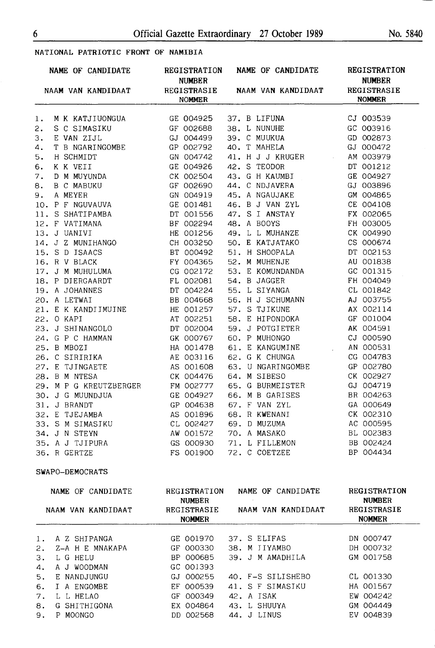### NATIONAL PATRIOTIC FRONT OF NAMIBIA

|    |  | NAME OF CANDIDATE                                                                                                                                                                                                                                    | <b>REGISTRATION</b><br><b>NUMBER</b> |  |              | NAME OF CANDIDATE                                                                                                                                   | <b>REGISTRATION</b><br><b>NUMBER</b> |
|----|--|------------------------------------------------------------------------------------------------------------------------------------------------------------------------------------------------------------------------------------------------------|--------------------------------------|--|--------------|-----------------------------------------------------------------------------------------------------------------------------------------------------|--------------------------------------|
|    |  | NAAM VAN KANDIDAAT REGISTRASIE                                                                                                                                                                                                                       | <b>NOMMER</b>                        |  |              | NAAM VAN KANDIDAAT                                                                                                                                  | REGISTRASIE<br><b>NOMMER</b>         |
| 1. |  | M K KATJIUONGUA                                                                                                                                                                                                                                      | GE 004925                            |  |              | 37. B LIFUNA CJ 003539                                                                                                                              |                                      |
| 2. |  | S C SIMASIKU<br>E VAN ZIJL GJ 004499 39. C MUUKUA<br>T B NGARINGOMBE GP 002792 40. T MAHELA                                                                                                                                                          |                                      |  |              |                                                                                                                                                     | GC 003916                            |
| 3. |  |                                                                                                                                                                                                                                                      |                                      |  |              |                                                                                                                                                     | GD 002873                            |
| 4. |  |                                                                                                                                                                                                                                                      |                                      |  |              |                                                                                                                                                     | GJ 000472                            |
|    |  | 4. T B NGARINGOMBE<br>5. H SCHMIDT<br>6. K K VEII GE 004926<br>7. D M MUYUNDA CK 002504<br>8. B C MABUKU GF 002690<br>9. A MEYER GN 004919<br>10. P F NGUVAUVA GE 001481<br>11. S SHATIPAMBA DT 001556<br>12. F VATIMANA BF 002294<br>13. J UANI     |                                      |  |              | GN 004742 41. H J J KRUGER AM 003979                                                                                                                |                                      |
|    |  |                                                                                                                                                                                                                                                      | GE 004926                            |  | 42. S TEODOR |                                                                                                                                                     | DT 001212                            |
|    |  |                                                                                                                                                                                                                                                      |                                      |  |              | 43. G H KAUMBI<br>44. C NDJAVERA                                                                                                                    | GE 004927                            |
|    |  |                                                                                                                                                                                                                                                      |                                      |  |              | 44. C NDJAVERA                                                                                                                                      | GJ 003896                            |
|    |  |                                                                                                                                                                                                                                                      |                                      |  |              | 45. A NGAUJAKE GM 004865                                                                                                                            |                                      |
|    |  |                                                                                                                                                                                                                                                      |                                      |  |              | GE 001481 46. B J VAN ZYL CE 004108                                                                                                                 |                                      |
|    |  |                                                                                                                                                                                                                                                      |                                      |  |              | 47. S I ANSTAY FX 002065                                                                                                                            |                                      |
|    |  |                                                                                                                                                                                                                                                      |                                      |  | 48. A BOOYS  |                                                                                                                                                     | FH 003005                            |
|    |  |                                                                                                                                                                                                                                                      |                                      |  |              | 49. L L MUHANZE                                                                                                                                     | CK 004990                            |
|    |  |                                                                                                                                                                                                                                                      |                                      |  |              | CH 003250 50. E KATJATAKO                                                                                                                           | CS 000674                            |
|    |  |                                                                                                                                                                                                                                                      |                                      |  |              |                                                                                                                                                     |                                      |
|    |  | 14. J Z MUNIHANGO<br>15. S D ISAACS<br>16. R V BLACK<br>17. J M MUHULUMA<br>18. P DIERGAARDT<br>19. A JOHANNES<br>19. A JOHANNES<br>20. A LETWAI<br>21. E K KANDIIMUINE<br>21. E K KANDIIMUINE<br>22. O KAPI<br>23. J SHINANGOLO<br>24. G P C HAMMAN |                                      |  |              | BT 000492 51. H SHOOPALA DT 002153<br>FY 004365 52. M MUHENJE AU 001838<br>CG 002172 53. E KOMUNDANDA GC 001315<br>FL 002081 54. B JAGGER FH 004049 |                                      |
|    |  |                                                                                                                                                                                                                                                      |                                      |  |              |                                                                                                                                                     |                                      |
|    |  |                                                                                                                                                                                                                                                      |                                      |  |              |                                                                                                                                                     |                                      |
|    |  |                                                                                                                                                                                                                                                      |                                      |  |              | DT 004224 55. L SIYANGA CL 001842                                                                                                                   |                                      |
|    |  |                                                                                                                                                                                                                                                      |                                      |  |              | 56. H J SCHUMANN AJ 003755                                                                                                                          |                                      |
|    |  |                                                                                                                                                                                                                                                      |                                      |  |              | 57. S TJIKUNE<br>58. E HIPONDOKA<br>59. I DOTTT                                                                                                     | AX 002114                            |
|    |  |                                                                                                                                                                                                                                                      |                                      |  |              |                                                                                                                                                     | GF 001004                            |
|    |  |                                                                                                                                                                                                                                                      |                                      |  |              | 59. J POTGIETER                                                                                                                                     | AK 004591                            |
|    |  |                                                                                                                                                                                                                                                      | GK 000767                            |  |              | 60. P MUHONGO                                                                                                                                       | CJ 000590                            |
|    |  | 23. J SHINANGOLO<br>24. G P C HAMMAN<br>25. B MBOZI<br>26. C SIRIRIKA<br>27. E TJINGAETE<br>28. B M NTESA                                                                                                                                            | HA 001478                            |  |              | 61. E KANGUMINE AN 000531                                                                                                                           |                                      |
|    |  |                                                                                                                                                                                                                                                      | AE 003116                            |  |              | 62. G K CHUNGA                                                                                                                                      | CG 004783                            |
|    |  |                                                                                                                                                                                                                                                      | AS 001608                            |  |              | 62. G. A. CHONGA<br>63. U. NGARINGOMBE<br>64. M. SIBESO                                                                                             | GP 002780                            |
|    |  |                                                                                                                                                                                                                                                      | CK 004476                            |  | 64. M SIBESO |                                                                                                                                                     | CK 002927                            |
|    |  | 29. M P G KREUTZBERGER                                                                                                                                                                                                                               | FM 002777                            |  |              | 65. G BURMEISTER                                                                                                                                    | GJ 004719                            |
|    |  |                                                                                                                                                                                                                                                      | GE 004927                            |  |              | 66. M B GARISES                                                                                                                                     | BR 004263                            |
|    |  |                                                                                                                                                                                                                                                      | GP 004638                            |  |              |                                                                                                                                                     | GA 000649                            |
|    |  | 30. J G MUUNDJUA<br>31. J BRANDT<br>32. E TJEJAMBA<br>33. S M SIMASIKU                                                                                                                                                                               | AS 001896                            |  |              | 67. F VAN ZYL<br>68. R KWENANI                                                                                                                      | CK 002310                            |
|    |  |                                                                                                                                                                                                                                                      | CL 002427                            |  |              | 69. D MUZUMA<br>70. A MASAKO BL 002383                                                                                                              |                                      |
|    |  |                                                                                                                                                                                                                                                      | AW 001572                            |  |              |                                                                                                                                                     |                                      |
|    |  |                                                                                                                                                                                                                                                      | GS 000930                            |  |              | 71. L FILLEMON BB 002424<br>72. C COETZEE BP 004434                                                                                                 |                                      |
|    |  | 34. J N STEYN<br>35. A J TJIPURA<br>36. R GERTZE                                                                                                                                                                                                     | FS 001900                            |  |              |                                                                                                                                                     |                                      |

#### **SWAPO-DEMOCRATS**

|    | NAME OF CANDIDATE  | REGISTRATION<br><b>NUMBER</b> | NAME OF CANDIDATE  | <b>REGISTRATION</b><br><b>NUMBER</b> |
|----|--------------------|-------------------------------|--------------------|--------------------------------------|
|    | NAAM VAN KANDIDAAT | REGISTRASIE<br><b>NOMMER</b>  | NAAM VAN KANDIDAAT | REGISTRASIE<br><b>NOMMER</b>         |
| 1. | A Z SHIPANGA       | GE 001970                     | 37. S ELIFAS       | DN 000747                            |
| 2. | Z-A H E MNAKAPA    | GF 000330                     | 38. M IIYAMBO      | DH 000732                            |
| 3. | L G HELU           | BP 000685                     | 39. J M AMADHILA   | GM 001758                            |
| 4. | A J WOODMAN        | GC 001393                     |                    |                                      |
| 5. | E NANDJUNGU        | GJ 000255                     | 40. F-S SILISHEBO  | CL 001330                            |
| 6. | I A ENGOMBE        | EF 000539                     | 41. S F SIMASIKU   | HA 001567                            |
| 7. | L L HELAO          | GF 000349                     | 42. A ISAK         | EW 004242                            |
| 8. | G SHITHIGONA       | EX 004864                     | 43. L SHUUYA       | GM 004449                            |
| 9. | MOONGO<br>P        | DD 002568                     | 44. J LINUS        | EV 004839                            |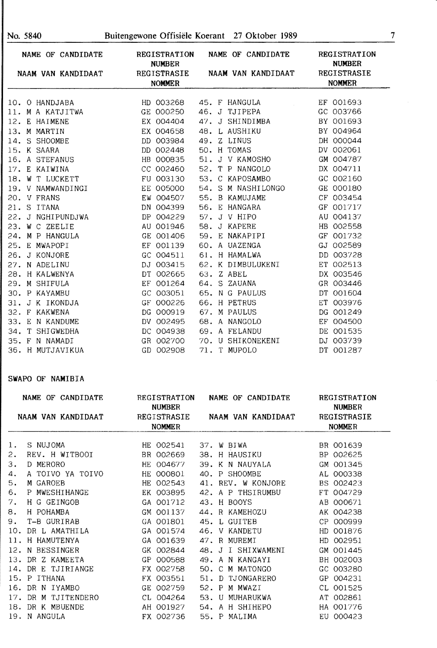| NAME OF CANDIDATE  | <b>REGISTRATION</b><br><b>NUMBER</b> | NAME OF CANDIDATE  | <b>REGISTRATION</b><br><b>NUMBER</b> |
|--------------------|--------------------------------------|--------------------|--------------------------------------|
| NAAM VAN KANDIDAAT | REGISTRASIE<br><b>NOMMER</b>         | NAAM VAN KANDIDAAT | REGISTRASIE<br><b>NOMMER</b>         |
|                    |                                      |                    |                                      |
| 10. O HANDJABA     | HD 003268                            | 45. F HANGULA      | EF 001693                            |
| 11. M A KATJITWA   | GE 000250                            | 46. J TJIPEPA      | GC 003766                            |
| 12. E HAIMENE      | EX 004404                            | 47. J SHINDIMBA    | BY 001693                            |
| 13. M MARTIN       | EX 004658                            | 48. L AUSHIKU      | BY 004964                            |
| 14. S SHOOMBE      | DD 003984                            | 49. Z LINUS        | DH 000044                            |
| 15. K SAARA        | DD 002448                            | 50. H TOMAS        | DV 002061                            |
| 16. A STEFANUS     | HB 000835                            | 51. J V KAMOSHO    | GM 004787                            |
| 17. E KAIWINA      | CC 002460                            | 52. T P NANGOLO    | DX 004711                            |
| 18. W T LUCKETT    | FU 003130                            | 53. C KAPOSAMBO    | GC 002160                            |
| 19. V NAMWANDINGI  | EE 005000                            | 54. S M NASHILONGO | GE 000180                            |
| 20. V FRANS        | EW 004507                            | 55. B KAMUJAME     | CF 003454                            |
| 21. S ITANA        | DN 004399                            | 56. E HANGARA      | GF 001717                            |
| 22. J NGHIPUNDJWA  | DP 004229                            | 57. J V HIPO       | AU 004137                            |
| 23. W C ZEELIE     | AU 001946                            | 58. J KAPERE       | HB 002558                            |
| 24. M P HANGULA    | GE 001406                            | 59. E NAKAPIPI     | GF 001732                            |
| 25. E MWAPOPI      | EF 001139                            | 60. A UAZENGA      | GJ 002589                            |
| 26. J KONJORE      | GC 004511                            | 61. H HAMALWA      | DD 003728                            |
| 27. N ADELINU      | DJ 003415                            | 62. K DIMBULUKENI  | ET 002513                            |
| 28. H KALWENYA     | DT 002665                            | 63. Z ABEL         | DX 003546                            |
| 29. M SHIFULA      | EF 001264                            | 64. S ZAUANA       | GR 003446                            |
| 30. P KAYAMBU      | GC 003051                            | 65. N G PAULUS     | DT 001604                            |
| 31. J K IKONDJA    | GF 000226                            | 66. H PETRUS       | ET 003976                            |
| 32. F KAKWENA      | DG 000919                            | 67. M PAULUS       | DG 001249                            |
| 33. E N KANDUME    | DV 002495                            | 68. A NANGOLO      | EF 004500                            |
| T SHIGWEDHA<br>34. | DC 004938                            | 69. A FELANDU      | DE 001535                            |
| 35. F N NAMADI     | GR 002700                            | 70. U SHIKONEKENI  | DJ 003739                            |
| 36. H MUTJAVIKUA   | GD 002908                            | 71. T MUPOLO       | DT 001287                            |

# **SWAPO OF NAMIBIA**

| NAME OF CANDIDATE |                     | <b>REGISTRATION</b><br><b>NUMBER</b> | NAME OF CANDIDATE  | REGISTRATION<br><b>NUMBER</b> |
|-------------------|---------------------|--------------------------------------|--------------------|-------------------------------|
|                   | NAAM VAN KANDIDAAT  | REGISTRASIE                          | NAAM VAN KANDIDAAT | REGISTRASIE                   |
|                   |                     | <b>NOMMER</b>                        |                    | <b>NOMMER</b>                 |
|                   |                     |                                      |                    |                               |
| 1.                | S NUJOMA            | HE 002541                            | 37. W BIWA         | BR 001639                     |
| 2.                | REV. H WITBOOI      | BR 002669                            | 38. H HAUSIKU      | BP 002625                     |
| з.                | D MERORO            | HE 004677                            | 39. K N NAUYALA    | GM 001345                     |
| 4.                | A TOIVO YA TOIVO    | HE 000801                            | 40. P SHOOMBE      | AL 000338                     |
| 5.                | M GAROEB            | HE 002543                            | 41. REV. W KONJORE | BS 002423                     |
| 6.                | P MWESHIHANGE       | EK 003895                            | 42. A P THSIRUMBU  | FT 004729                     |
| 7.                | H G GEINGOB         | GA 001712                            | 43. H BOOYS        | AB 000671                     |
| 8.                | H POHAMBA           | GM 001137                            | 44. R KAMEHOZU     | AK 004238                     |
| 9.                | T-B GURIRAB         | GA 001801                            | 45. L GUITEB       | CP 000999                     |
|                   | 10. DR L AMATHILA   | GA 001574                            | 46. V KANDETU      | HD 001876                     |
|                   | 11. H HAMUTENYA     | GA 001639                            | 47. R MUREMI       | HD 002951                     |
|                   | 12. N BESSINGER     | GK 002844                            | 48. J I SHIXWAMENI | GM 001445                     |
|                   | 13. DR Z KAMEETA    | GP 000588                            | 49. A N KANGAYI    | BH 002003                     |
|                   | 14. DR E TJIRIANGE  | FX 002758                            | 50. C M MATONGO    | GC 003280                     |
|                   | 15. P ITHANA        | FX 003551                            | 51. D TJONGARERO   | GP 004231                     |
|                   | 16. DR N IYAMBO     | GE 002759                            | 52. P M MWAZI      | CL 001525                     |
|                   | 17. DR M TJITENDERO | CL 004264                            | 53. U MUHARUKWA    | AT 002861                     |
|                   | 18. DR K MBUENDE    | AH 001927                            | 54. A H SHIHEPO    | HA 001776                     |
|                   | 19. N ANGULA        | FX 002736                            | 55. P MALIMA       | EU 000423                     |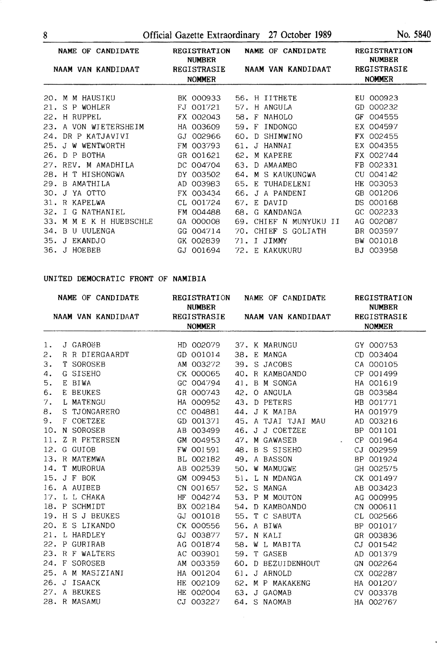8 Official Gazette Extraordinary 27 October 1989 No. 5840

| NAME OF CANDIDATE<br>NAAM VAN KANDIDAAT | <b>REGISTRATION</b><br><b>NUMBER</b><br>REGISTRASIE<br><b>NOMMER</b> | NAME OF CANDIDATE<br>NAAM VAN KANDIDAAT | <b>REGISTRATION</b><br><b>NUMBER</b><br>REGISTRASIE<br><b>NOMMER</b> |  |  |
|-----------------------------------------|----------------------------------------------------------------------|-----------------------------------------|----------------------------------------------------------------------|--|--|
| M M HAUSIKU<br>20.                      | BK 000933                                                            | 56. H IITHETE                           | EU 000923                                                            |  |  |
| 21. S<br>P<br>WOHLER                    | 001721<br>FJ                                                         | H ANGULA<br>57.                         | 000232<br>GD                                                         |  |  |
| 22.<br>H RUPPEL                         | 002043<br>FX.                                                        | 58.<br>$\mathbf F$<br><b>NAHOLO</b>     | 004555<br>GF                                                         |  |  |
| A VON WIETERSHEIM<br>23.                | HA 003609                                                            | INDONGO<br>59.<br>$\mathbf{F}$          | EX 004597                                                            |  |  |
| 24. DR P KATJAVIVI                      | 002966<br>GJ                                                         | 60.<br>SHIMWINO<br>D.                   | FX 002455                                                            |  |  |
| WENTWORTH<br>25.<br>J W                 | 003793<br>FM.                                                        | HANNAI<br>J<br>61.                      | EX 004355                                                            |  |  |
| <b>BOTHA</b><br>26.<br>$D$ $P$          | GR 001621                                                            | M KAPERE<br>62.                         | FX 002744                                                            |  |  |
| 27. REV. M AMADHILA                     | DC 004704                                                            | 63.<br>D.<br>AMAAMBO                    | FB 002331                                                            |  |  |
| H T HISHONGWA<br>28.                    | 003502<br>DY.                                                        | 64. M S KAUKUNGWA                       | 004142<br>CU                                                         |  |  |
| 29. B AMATHILA                          | 003983<br>AD                                                         | 65. E TUHADELENI                        | HE 003053                                                            |  |  |
| YA OTTO<br>30.<br>J                     | 003434<br>FX.                                                        | 66.<br>J A PANDENI                      | 001206<br>GB                                                         |  |  |
| R KAPELWA<br>31.                        | 001724<br>CL                                                         | 67.<br>E DAVID                          | 000168<br>DS.                                                        |  |  |
| 32. I<br>G NATHANIEL                    | 004488<br>FM.                                                        | 68.<br>G KANDANGA                       | 002233<br>$_{\rm GC}$                                                |  |  |
| 33.<br>M<br>E K H HUEBSCHLE<br>М        | 000008<br>GA                                                         | MUNYUKU<br>69.<br>CHIEF N<br>ΙT         | 002087<br>AG.                                                        |  |  |
| B<br>UULENGA<br>34.<br>U                | 004714<br>GG                                                         | CHIEF S<br>GOLIATH<br>70.               | BR 003597                                                            |  |  |
| 35.<br><b>EKANDJO</b><br>$\cdot$        | 002839<br>GK                                                         | JIMMY<br>71.<br>$\mathsf{T}$            | 001018<br>BW                                                         |  |  |
| 36. J HOEBEB                            | GJ 001694                                                            | 72. E KAKUKURU                          | BJ 003958                                                            |  |  |

# **UNITED DEMOCRATIC FRONT** OF **NAMIBIA**

|                                |  |               | NAME OF CANDIDATE |                    | <b>REGISTRATION</b> |  |  | NAME OF CANDIDATE            |                     | REGISTRATION |  |
|--------------------------------|--|---------------|-------------------|--------------------|---------------------|--|--|------------------------------|---------------------|--------------|--|
| NAAM VAN KANDIDAAT REGISTRASIE |  | <b>NUMBER</b> |                   | NAAM VAN KANDIDAAT |                     |  |  | <b>NUMBER</b><br>REGISTRASIE |                     |              |  |
|                                |  |               |                   | <b>NOMMER</b>      |                     |  |  |                              | <b>NOMMER</b>       |              |  |
|                                |  |               |                   |                    |                     |  |  |                              |                     |              |  |
| 1.                             |  | J GAROëB      |                   |                    |                     |  |  | HD 002079 37. K MARUNGU      |                     | GY 000753    |  |
| 2.                             |  |               | R R DIERGAARDT    |                    | GD 001014           |  |  | 38. E MANGA                  |                     | CD 003404    |  |
| 3.                             |  | T SOROSEB     |                   |                    | AM 003272           |  |  | 39. S JACOBS                 |                     | CA 000105    |  |
| 4.                             |  | G SISEHO      |                   |                    | CK 000065           |  |  | 40. R KAMBOANDO              |                     | CP 001499    |  |
| 5.                             |  | E BIWA        |                   |                    | GC 004794           |  |  | 41. B M SONGA                |                     | HA 001619    |  |
| 6.                             |  | E BEUKES      |                   |                    | GR 000743           |  |  | 42. O ANGULA                 |                     | GB 003584    |  |
| 7.                             |  | L MATENGU     |                   |                    | HA 000952           |  |  | 43. D PETERS                 |                     | HB 001771    |  |
| 8.                             |  |               | S TJONGARERO      |                    | CC 004881           |  |  | 44. J K MAIBA                |                     | HA 001979    |  |
| 9.                             |  | F COETZEE     |                   |                    | GD 001371           |  |  | 45. A TJAI TJAI MAU          |                     | AD 003216    |  |
|                                |  | 10. N SOROSEB |                   |                    | AB 003499           |  |  | 46. J J COETZEE              |                     | BP 001101    |  |
|                                |  |               | 11. Z R PETERSEN  |                    | GM 004953           |  |  | 47. M GAWASEB                | $\omega_{\rm{max}}$ | CP 001964    |  |
|                                |  | 12. G GUIOB   |                   |                    | FW 001591           |  |  | 48. B S SISEHO               |                     | CJ 002959    |  |
|                                |  |               | 13. R MATEMWA     |                    | BL 002182           |  |  | 49. A BASSON                 |                     | BP 001924    |  |
|                                |  |               | 14. T MURORUA     |                    | AB 002539           |  |  | 50. W MAMUGWE                |                     | GH 002575    |  |
|                                |  | 15. J F BOK   |                   |                    | GM 009453           |  |  | 51. L N MDANGA               |                     | CK 001497    |  |
|                                |  | 16. A AUIBEB  |                   |                    | CN 001657           |  |  | 52. S MANGA                  |                     | AB 003423    |  |
|                                |  |               | 17. L L CHAKA     |                    | HF 004274           |  |  | 53. P M MOUTON               |                     | AG 000995    |  |
|                                |  | 18. P SCHMIDT |                   |                    | BX 002184           |  |  | 54. D KAMBOANDO              |                     | CN 000611    |  |
|                                |  |               | 19. H S J BEUKES  |                    | GJ 001018           |  |  | 55. T C SABUTA               |                     | CL 002566    |  |
|                                |  |               | 20. E S LIKANDO   |                    | CK 000556           |  |  | 56. A BIWA                   |                     | BP 001017    |  |
|                                |  | 21. L HARDLEY |                   |                    | GJ 003877           |  |  | 57. N KALI                   |                     | GR 003836    |  |
|                                |  | 22. P GURIRAB |                   |                    | AG 001874           |  |  | 58. W L MABITA               |                     | CJ 001542    |  |
|                                |  |               | 23. R F WALTERS   |                    | AC 003901           |  |  | 59. T GASEB                  |                     | AD 001379    |  |
|                                |  | 24. F SOROSEB |                   |                    | AM 003359           |  |  | 60. D BEZUIDENHOUT           |                     | GN 002264    |  |
|                                |  |               | 25. A M MASIZIANI |                    | HA 001204           |  |  | 61. J ARNOLD                 |                     | CX 002287    |  |
|                                |  | 26. J ISAACK  |                   |                    | HE 002109           |  |  | 62. M P MAKAKENG             |                     | HA 001207    |  |
|                                |  | 27. A BEUKES  |                   |                    | HE 002004           |  |  | 63. J GAOMAB                 |                     | CV 003378    |  |
|                                |  | 28. R MASAMU  |                   |                    | CJ 003227           |  |  | 64. S NAOMAB                 |                     | HA 002767    |  |

 $\mathcal{A}^{\mathcal{A}}$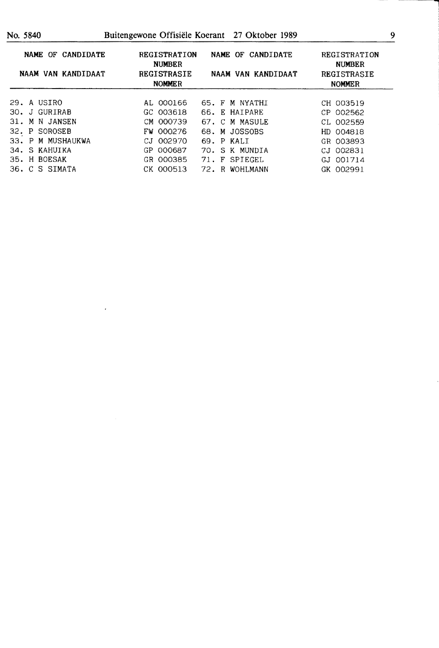| NAME OF CANDIDATE<br>NAAM VAN KANDIDAAT |  |                   | <b>REGISTRATION</b><br><b>NUMBER</b><br><b>REGISTRASIE</b> |           | CANDIDATE<br>NAME OF<br>NAAM VAN KANDIDAAT |  |                | REGISTRATION<br><b>NUMBER</b><br>REGISTRASIE |               |  |
|-----------------------------------------|--|-------------------|------------------------------------------------------------|-----------|--------------------------------------------|--|----------------|----------------------------------------------|---------------|--|
|                                         |  |                   | <b>NOMMER</b>                                              |           |                                            |  |                |                                              | <b>NOMMER</b> |  |
|                                         |  | 29. A USIRO       |                                                            | AL 000166 |                                            |  | 65. F M NYATHI |                                              | CH 003519     |  |
|                                         |  | 30. J GURIRAB     |                                                            | GC 003618 |                                            |  | 66. E HAIPARE  |                                              | CP 002562     |  |
| 31.                                     |  | M N JANSEN        |                                                            | CM 000739 |                                            |  | 67. C M MASULE |                                              | CL 002559     |  |
|                                         |  | 32. P SOROSEB     |                                                            | FW 000276 |                                            |  | 68. M JOSSOBS  |                                              | HD 004818     |  |
|                                         |  | 33. P M MUSHAUKWA |                                                            | CJ 002970 |                                            |  | 69. P KALI     |                                              | GR 003893     |  |
|                                         |  | 34. S KAHUIKA     |                                                            | GP 000687 | 70.                                        |  | S K MUNDIA     |                                              | CJ 002831     |  |
|                                         |  | 35. H BOESAK      |                                                            | GR 000385 | 71.                                        |  | F SPIEGEL      |                                              | GJ 001714     |  |
|                                         |  | 36. C S SIMATA    |                                                            | CK 000513 |                                            |  | 72. R WOHLMANN |                                              | GK 002991     |  |

 $\hat{\boldsymbol{\epsilon}}$